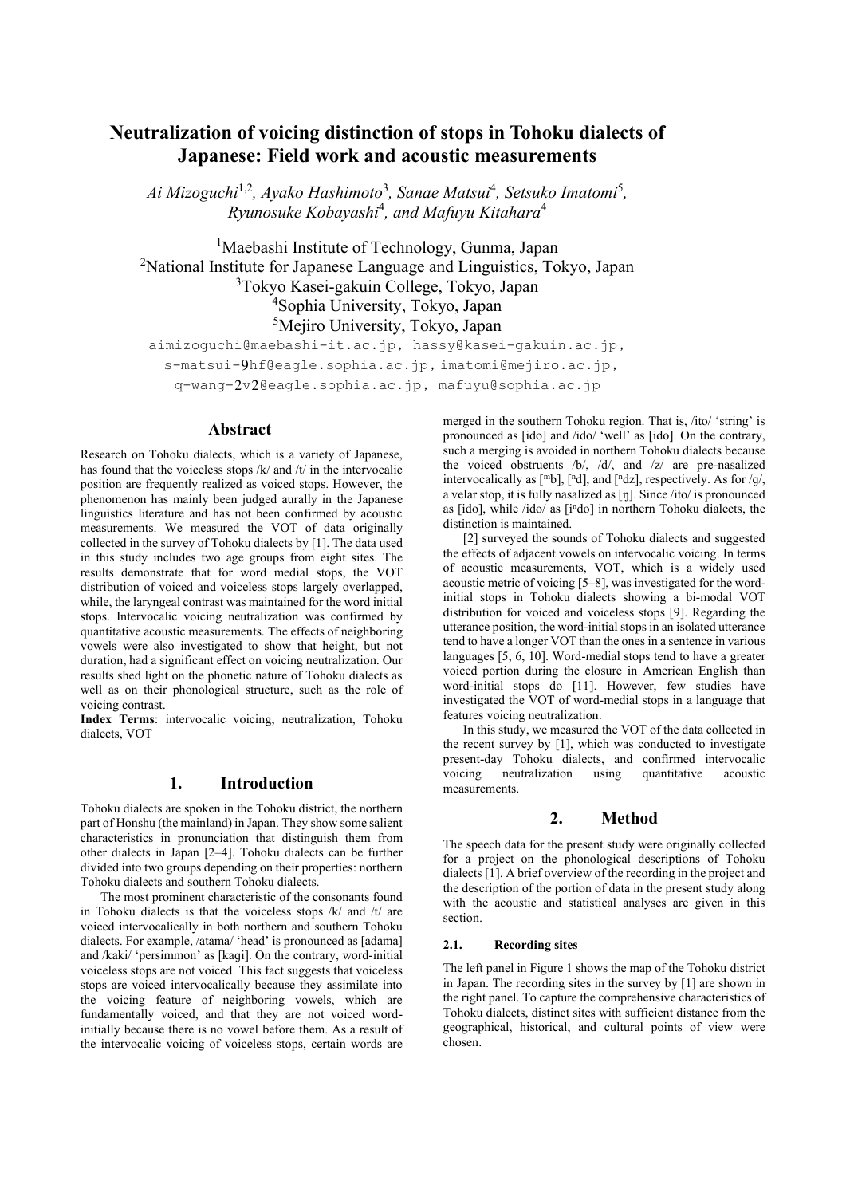# **Neutralization of voicing distinction of stops in Tohoku dialects of Japanese: Field work and acoustic measurements**

*Ai Mizoguchi*1,2*, Ayako Hashimoto*<sup>3</sup> *, Sanae Matsui*<sup>4</sup> *, Setsuko Imatomi*<sup>5</sup> *, Ryunosuke Kobayashi*<sup>4</sup> *, and Mafuyu Kitahara*<sup>4</sup>

<sup>1</sup>Maebashi Institute of Technology, Gunma, Japan <sup>2</sup>National Institute for Japanese Language and Linguistics, Tokyo, Japan <sup>3</sup>Tokyo Kasei-gakuin College, Tokyo, Japan <sup>4</sup>Sophia University, Tokyo, Japan <sup>5</sup>Mejiro University, Tokyo, Japan

aimizoguchi@maebashi-it.ac.jp, hassy@kasei-gakuin.ac.jp, s-matsui-9hf@eagle.sophia.ac.jp, imatomi@mejiro.ac.jp, q-wang-2v2@eagle.sophia.ac.jp, mafuyu@sophia.ac.jp

## **Abstract**

Research on Tohoku dialects, which is a variety of Japanese, has found that the voiceless stops /k/ and /t/ in the intervocalic position are frequently realized as voiced stops. However, the phenomenon has mainly been judged aurally in the Japanese linguistics literature and has not been confirmed by acoustic measurements. We measured the VOT of data originally collected in the survey of Tohoku dialects by [1]. The data used in this study includes two age groups from eight sites. The results demonstrate that for word medial stops, the VOT distribution of voiced and voiceless stops largely overlapped, while, the laryngeal contrast was maintained for the word initial stops. Intervocalic voicing neutralization was confirmed by quantitative acoustic measurements. The effects of neighboring vowels were also investigated to show that height, but not duration, had a significant effect on voicing neutralization. Our results shed light on the phonetic nature of Tohoku dialects as well as on their phonological structure, such as the role of voicing contrast.

**Index Terms**: intervocalic voicing, neutralization, Tohoku dialects, VOT

### **1. Introduction**

Tohoku dialects are spoken in the Tohoku district, the northern part of Honshu (the mainland) in Japan. They show some salient characteristics in pronunciation that distinguish them from other dialects in Japan [2–4]. Tohoku dialects can be further divided into two groups depending on their properties: northern Tohoku dialects and southern Tohoku dialects.

The most prominent characteristic of the consonants found in Tohoku dialects is that the voiceless stops /k/ and /t/ are voiced intervocalically in both northern and southern Tohoku dialects. For example, /atama/ 'head' is pronounced as [adama] and /kaki/ 'persimmon' as [kaɡi]. On the contrary, word-initial voiceless stops are not voiced. This fact suggests that voiceless stops are voiced intervocalically because they assimilate into the voicing feature of neighboring vowels, which are fundamentally voiced, and that they are not voiced wordinitially because there is no vowel before them. As a result of the intervocalic voicing of voiceless stops, certain words are merged in the southern Tohoku region. That is, /ito/ 'string' is pronounced as [ido] and /ido/ 'well' as [ido]. On the contrary, such a merging is avoided in northern Tohoku dialects because the voiced obstruents /b/, /d/, and /z/ are pre-nasalized intervocalically as  $[mb]$ ,  $[nd]$ , and  $[ndz]$ , respectively. As for /q/, a velar stop, it is fully nasalized as [ŋ]. Since /ito/ is pronounced as [ido], while /ido/ as [i<sup>n</sup>do] in northern Tohoku dialects, the distinction is maintained.

[2] surveyed the sounds of Tohoku dialects and suggested the effects of adjacent vowels on intervocalic voicing. In terms of acoustic measurements, VOT, which is a widely used acoustic metric of voicing [5–8], was investigated for the wordinitial stops in Tohoku dialects showing a bi-modal VOT distribution for voiced and voiceless stops [9]. Regarding the utterance position, the word-initial stops in an isolated utterance tend to have a longer VOT than the ones in a sentence in various languages [5, 6, 10]. Word-medial stops tend to have a greater voiced portion during the closure in American English than word-initial stops do [11]. However, few studies have investigated the VOT of word-medial stops in a language that features voicing neutralization.

In this study, we measured the VOT of the data collected in the recent survey by [1], which was conducted to investigate present-day Tohoku dialects, and confirmed intervocalic voicing neutralization using quantitative acoustic measurements.

# **2. Method**

The speech data for the present study were originally collected for a project on the phonological descriptions of Tohoku dialects [1]. A brief overview of the recording in the project and the description of the portion of data in the present study along with the acoustic and statistical analyses are given in this section.

#### **2.1. Recording sites**

The left panel in Figure 1 shows the map of the Tohoku district in Japan. The recording sites in the survey by [1] are shown in the right panel. To capture the comprehensive characteristics of Tohoku dialects, distinct sites with sufficient distance from the geographical, historical, and cultural points of view were chosen.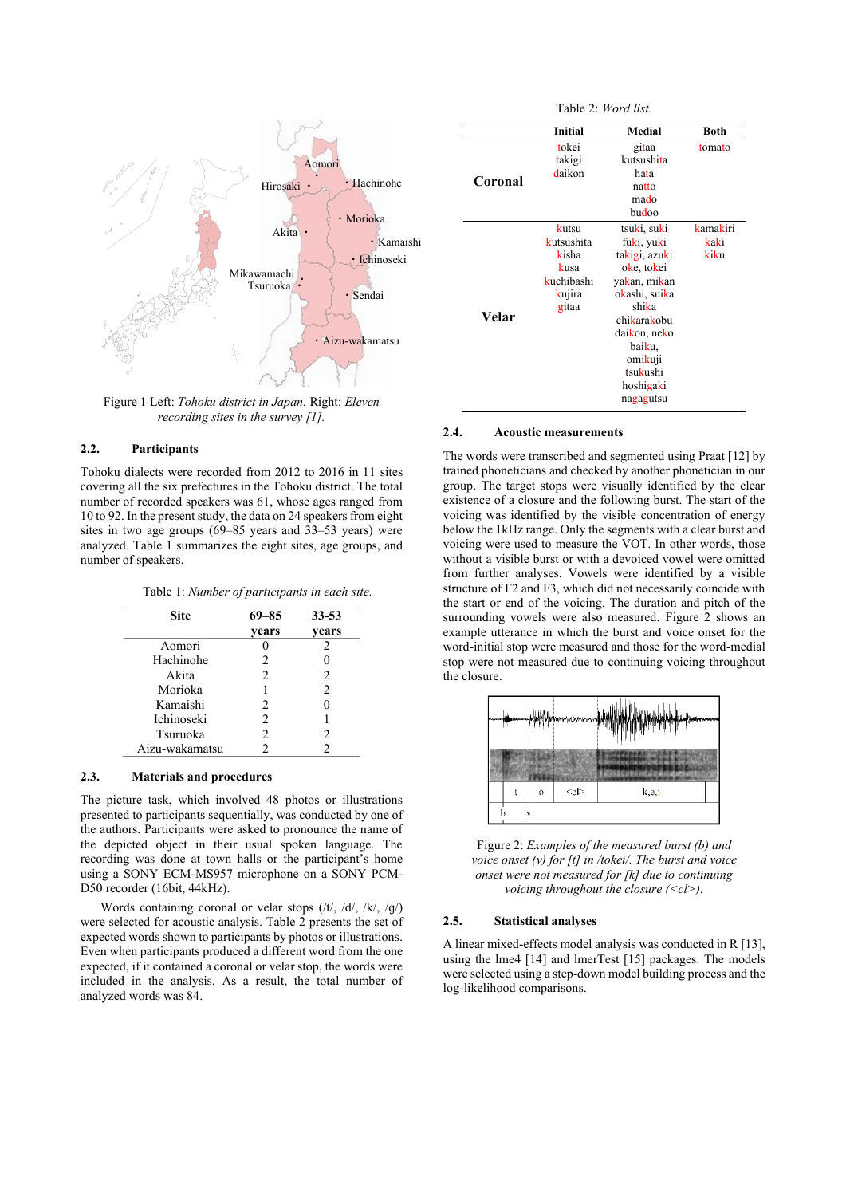

Figure 1 Left: *Tohoku district in Japan.* Right: *Eleven recording sites in the survey [1].*

### **2.2. Participants**

Tohoku dialects were recorded from 2012 to 2016 in 11 sites covering all the six prefectures in the Tohoku district. The total number of recorded speakers was 61, whose ages ranged from 10 to 92. In the present study, the data on 24 speakers from eight sites in two age groups (69–85 years and 33–53 years) were analyzed. Table 1 summarizes the eight sites, age groups, and number of speakers.

|  | Table 1: Number of participants in each site. |
|--|-----------------------------------------------|
|--|-----------------------------------------------|

| <b>Site</b>       | $69 - 85$      | $33 - 53$      |
|-------------------|----------------|----------------|
|                   | years          | years          |
| Aomori            |                | 2.             |
| Hachinohe         | 2              |                |
| Akita             | $\mathfrak{D}$ | 2              |
| Morioka           | 1              | $\mathfrak{D}$ |
| Kamaishi          | $\mathfrak{D}$ |                |
| <b>Ichinoseki</b> | 2              |                |
| Tsuruoka          | $\mathfrak{D}$ | 2              |
| Aizu-wakamatsu    | $\mathfrak{D}$ |                |

#### **2.3. Materials and procedures**

The picture task, which involved 48 photos or illustrations presented to participants sequentially, was conducted by one of the authors. Participants were asked to pronounce the name of the depicted object in their usual spoken language. The recording was done at town halls or the participant's home using a SONY ECM-MS957 microphone on a SONY PCM-D50 recorder (16bit, 44kHz).

Words containing coronal or velar stops (/t/, /d/, /k/, /ɡ/) were selected for acoustic analysis. Table 2 presents the set of expected words shown to participants by photos or illustrations. Even when participants produced a different word from the one expected, if it contained a coronal or velar stop, the words were included in the analysis. As a result, the total number of analyzed words was 84.

|         | <b>Initial</b> | Medial                                     | Both     |
|---------|----------------|--------------------------------------------|----------|
|         | tokei          | gitaa                                      | tomato   |
|         | takigi         | kutsushita                                 |          |
|         | daikon<br>hata |                                            |          |
| Coronal |                | natto                                      |          |
|         |                | mado                                       |          |
|         |                | budoo                                      |          |
|         | kutsu          | tsuki, suki                                | kamakiri |
|         | kutsushita     | fuki, yuki                                 | kaki     |
|         | kisha          | takigi, azuki                              | kiku     |
|         | kusa           | oke, tokei                                 |          |
|         | kuchibashi     | ya <mark>k</mark> an, mi <mark>k</mark> an |          |
| Velar   | kujira         | okashi, suika                              |          |
|         | gitaa          | shika                                      |          |
|         |                | chikarakobu                                |          |
|         |                | daikon, neko                               |          |
|         |                | baiku,                                     |          |
|         |                | omikuji                                    |          |
|         |                | tsukushi                                   |          |
|         |                | hoshigaki                                  |          |

nagagutsu

Table 2: *Word list.*

#### **2.4. Acoustic measurements**

The words were transcribed and segmented using Praat [12] by trained phoneticians and checked by another phonetician in our group. The target stops were visually identified by the clear existence of a closure and the following burst. The start of the voicing was identified by the visible concentration of energy below the 1kHz range. Only the segments with a clear burst and voicing were used to measure the VOT. In other words, those without a visible burst or with a devoiced vowel were omitted from further analyses. Vowels were identified by a visible structure of F2 and F3, which did not necessarily coincide with the start or end of the voicing. The duration and pitch of the surrounding vowels were also measured. Figure 2 shows an example utterance in which the burst and voice onset for the word-initial stop were measured and those for the word-medial stop were not measured due to continuing voicing throughout the closure.



Figure 2: *Examples of the measured burst (b) and voice onset (v) for [t] in /tokei/. The burst and voice onset were not measured for [k] due to continuing voicing throughout the closure (<cl>).*

#### **2.5. Statistical analyses**

A linear mixed-effects model analysis was conducted in R [13], using the lme4 [14] and lmerTest [15] packages. The models were selected using a step-down model building process and the log-likelihood comparisons.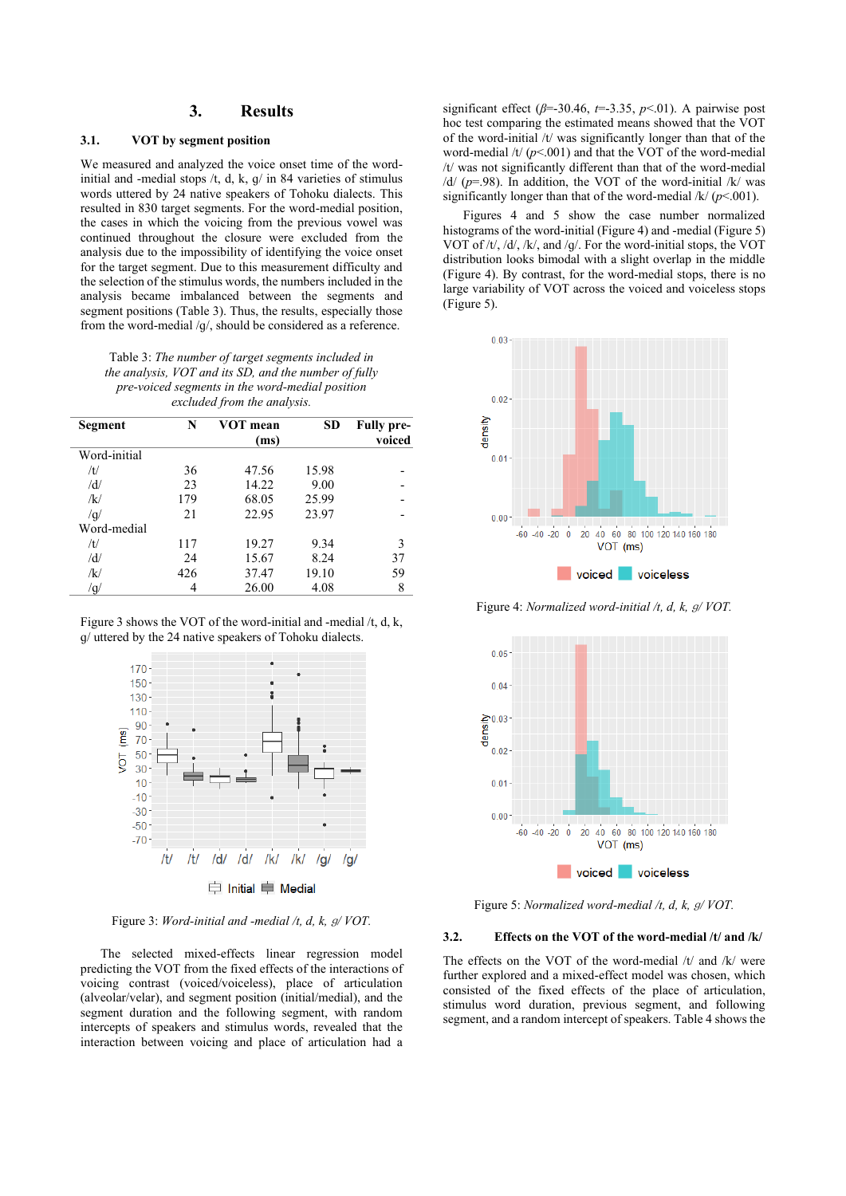## **3. Results**

### **3.1. VOT by segment position**

We measured and analyzed the voice onset time of the wordinitial and -medial stops /t, d, k, ɡ/ in 84 varieties of stimulus words uttered by 24 native speakers of Tohoku dialects. This resulted in 830 target segments. For the word-medial position, the cases in which the voicing from the previous vowel was continued throughout the closure were excluded from the analysis due to the impossibility of identifying the voice onset for the target segment. Due to this measurement difficulty and the selection of the stimulus words, the numbers included in the analysis became imbalanced between the segments and segment positions (Table 3). Thus, the results, especially those from the word-medial /ɡ/, should be considered as a reference.

Table 3: *The number of target segments included in the analysis, VOT and its SD, and the number of fully pre-voiced segments in the word-medial position excluded from the analysis.*

| Segment      | N   | VOT mean | <b>SD</b> | <b>Fully pre-</b> |
|--------------|-----|----------|-----------|-------------------|
|              |     | (ms)     |           | voiced            |
| Word-initial |     |          |           |                   |
| /t/          | 36  | 47.56    | 15.98     |                   |
| /d/          | 23  | 14.22    | 9.00      |                   |
| $\sqrt{k}$   | 179 | 68.05    | 25.99     |                   |
| /q/          | 21  | 22.95    | 23.97     |                   |
| Word-medial  |     |          |           |                   |
| /t/          | 117 | 19.27    | 9.34      | 3                 |
| /d/          | 24  | 15.67    | 8.24      | 37                |
| /k/          | 426 | 37.47    | 19.10     | 59                |
| /g/          | 4   | 26.00    | 4.08      | 8                 |

Figure 3 shows the VOT of the word-initial and -medial /t, d, k, ɡ/ uttered by the 24 native speakers of Tohoku dialects.



Figure 3: *Word-initial and -medial /t, d, k,* ɡ*/ VOT.*

The selected mixed-effects linear regression model predicting the VOT from the fixed effects of the interactions of voicing contrast (voiced/voiceless), place of articulation (alveolar/velar), and segment position (initial/medial), and the segment duration and the following segment, with random intercepts of speakers and stimulus words, revealed that the interaction between voicing and place of articulation had a significant effect ( $\beta$ =-30.46,  $t$ =-3.35,  $p$ <.01). A pairwise post hoc test comparing the estimated means showed that the VOT of the word-initial /t/ was significantly longer than that of the word-medial  $/t/(p<.001)$  and that the VOT of the word-medial /t/ was not significantly different than that of the word-medial  $/d/(p=98)$ . In addition, the VOT of the word-initial  $/k/(w=98)$ . significantly longer than that of the word-medial /k/ (*p*<.001).

Figures 4 and 5 show the case number normalized histograms of the word-initial (Figure 4) and -medial (Figure 5) VOT of /t/, /d/, /k/, and /ɡ/. For the word-initial stops, the VOT distribution looks bimodal with a slight overlap in the middle (Figure 4). By contrast, for the word-medial stops, there is no large variability of VOT across the voiced and voiceless stops (Figure 5).



Figure 4: *Normalized word-initial /t, d, k,* ɡ*/ VOT.*



Figure 5: *Normalized word-medial /t, d, k,* ɡ*/ VOT.*

### **3.2. Effects on the VOT of the word-medial /t/ and /k/**

The effects on the VOT of the word-medial /t/ and /k/ were further explored and a mixed-effect model was chosen, which consisted of the fixed effects of the place of articulation, stimulus word duration, previous segment, and following segment, and a random intercept of speakers. Table 4 shows the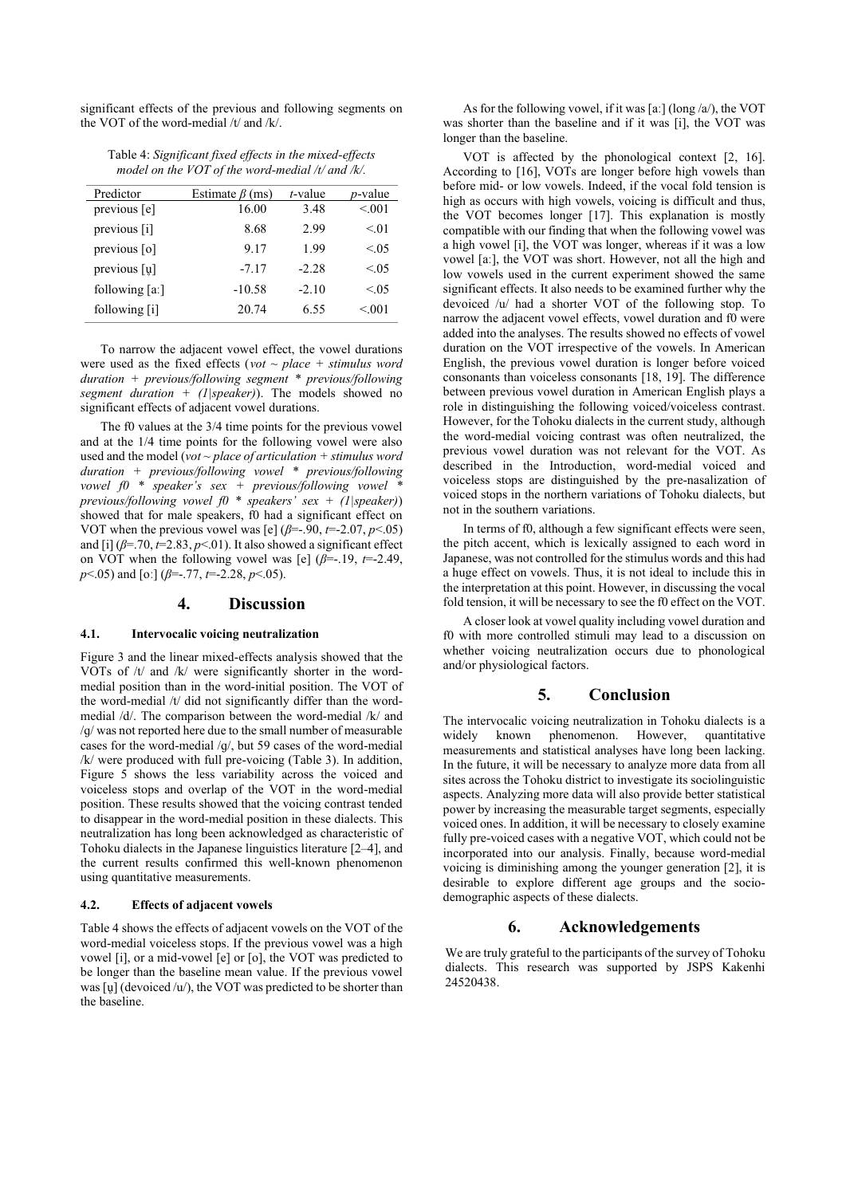significant effects of the previous and following segments on the VOT of the word-medial /t/ and /k/.

| Table 4: Significant fixed effects in the mixed-effects |  |
|---------------------------------------------------------|--|
| model on the VOT of the word-medial $/t$ and $/k$ .     |  |

| Predictor       | Estimate $\beta$ (ms) | $t$ -value | <i>p</i> -value |
|-----------------|-----------------------|------------|-----------------|
| previous [e]    | 16.00                 | 3.48       | < 0.01          |
| previous [i]    | 8.68                  | 2.99       | < 0.01          |
| previous [o]    | 9.17                  | 1.99       | < 0.05          |
| previous [u]    | $-7.17$               | $-2.28$    | < 0.05          |
| following $[a]$ | $-10.58$              | $-2.10$    | < 0.05          |
| following [i]   | 20.74                 | 6.55       | < 0.01          |

To narrow the adjacent vowel effect, the vowel durations were used as the fixed effects (*vot ~ place + stimulus word duration + previous/following segment \* previous/following segment duration + (1|speaker)*). The models showed no significant effects of adjacent vowel durations.

The f0 values at the  $3/4$  time points for the previous vowel and at the 1/4 time points for the following vowel were also used and the model (*vot ~ place of articulation + stimulus word duration + previous/following vowel \* previous/following vowel f0 \* speaker's sex + previous/following vowel \* previous/following vowel f0 \* speakers' sex + (1|speaker)*) showed that for male speakers, f0 had a significant effect on VOT when the previous vowel was [e]  $(\beta = .90, t = 2.07, p < .05)$ and [i]  $(\beta = .70, t = 2.83, p < .01)$ . It also showed a significant effect on VOT when the following vowel was [e] (*β*=-.19, *t*=-2.49, *p*<.05) and [oː] (*β*=-.77, *t*=-2.28, *p*<.05).

### **4. Discussion**

#### **4.1. Intervocalic voicing neutralization**

Figure 3 and the linear mixed-effects analysis showed that the VOTs of /t/ and /k/ were significantly shorter in the wordmedial position than in the word-initial position. The VOT of the word-medial /t/ did not significantly differ than the wordmedial /d/. The comparison between the word-medial /k/ and /ɡ/ was not reported here due to the small number of measurable cases for the word-medial /ɡ/, but 59 cases of the word-medial /k/ were produced with full pre-voicing (Table 3). In addition, Figure 5 shows the less variability across the voiced and voiceless stops and overlap of the VOT in the word-medial position. These results showed that the voicing contrast tended to disappear in the word-medial position in these dialects. This neutralization has long been acknowledged as characteristic of Tohoku dialects in the Japanese linguistics literature [2–4], and the current results confirmed this well-known phenomenon using quantitative measurements.

#### **4.2. Effects of adjacent vowels**

Table 4 shows the effects of adjacent vowels on the VOT of the word-medial voiceless stops. If the previous vowel was a high vowel [i], or a mid-vowel [e] or [o], the VOT was predicted to be longer than the baseline mean value. If the previous vowel was [ $\mu$ ] (devoiced /u/), the VOT was predicted to be shorter than the baseline.

As for the following vowel, if it was [a:] (long  $\langle a \rangle$ ), the VOT was shorter than the baseline and if it was [i], the VOT was longer than the baseline.

VOT is affected by the phonological context [2, 16]. According to [16], VOTs are longer before high vowels than before mid- or low vowels. Indeed, if the vocal fold tension is high as occurs with high vowels, voicing is difficult and thus, the VOT becomes longer [17]. This explanation is mostly compatible with our finding that when the following vowel was a high vowel [i], the VOT was longer, whereas if it was a low vowel [aː], the VOT was short. However, not all the high and low vowels used in the current experiment showed the same significant effects. It also needs to be examined further why the devoiced /u/ had a shorter VOT of the following stop. To narrow the adjacent vowel effects, vowel duration and f0 were added into the analyses. The results showed no effects of vowel duration on the VOT irrespective of the vowels. In American English, the previous vowel duration is longer before voiced consonants than voiceless consonants [18, 19]. The difference between previous vowel duration in American English plays a role in distinguishing the following voiced/voiceless contrast. However, for the Tohoku dialects in the current study, although the word-medial voicing contrast was often neutralized, the previous vowel duration was not relevant for the VOT. As described in the Introduction, word-medial voiced and voiceless stops are distinguished by the pre-nasalization of voiced stops in the northern variations of Tohoku dialects, but not in the southern variations.

In terms of f0, although a few significant effects were seen, the pitch accent, which is lexically assigned to each word in Japanese, was not controlled for the stimulus words and this had a huge effect on vowels. Thus, it is not ideal to include this in the interpretation at this point. However, in discussing the vocal fold tension, it will be necessary to see the f0 effect on the VOT.

A closer look at vowel quality including vowel duration and f0 with more controlled stimuli may lead to a discussion on whether voicing neutralization occurs due to phonological and/or physiological factors.

### **5. Conclusion**

The intervocalic voicing neutralization in Tohoku dialects is a widely known phenomenon. However, quantitative measurements and statistical analyses have long been lacking. In the future, it will be necessary to analyze more data from all sites across the Tohoku district to investigate its sociolinguistic aspects. Analyzing more data will also provide better statistical power by increasing the measurable target segments, especially voiced ones. In addition, it will be necessary to closely examine fully pre-voiced cases with a negative VOT, which could not be incorporated into our analysis. Finally, because word-medial voicing is diminishing among the younger generation [2], it is desirable to explore different age groups and the sociodemographic aspects of these dialects.

### **6. Acknowledgements**

We are truly grateful to the participants of the survey of Tohoku dialects. This research was supported by JSPS Kakenhi 24520438.